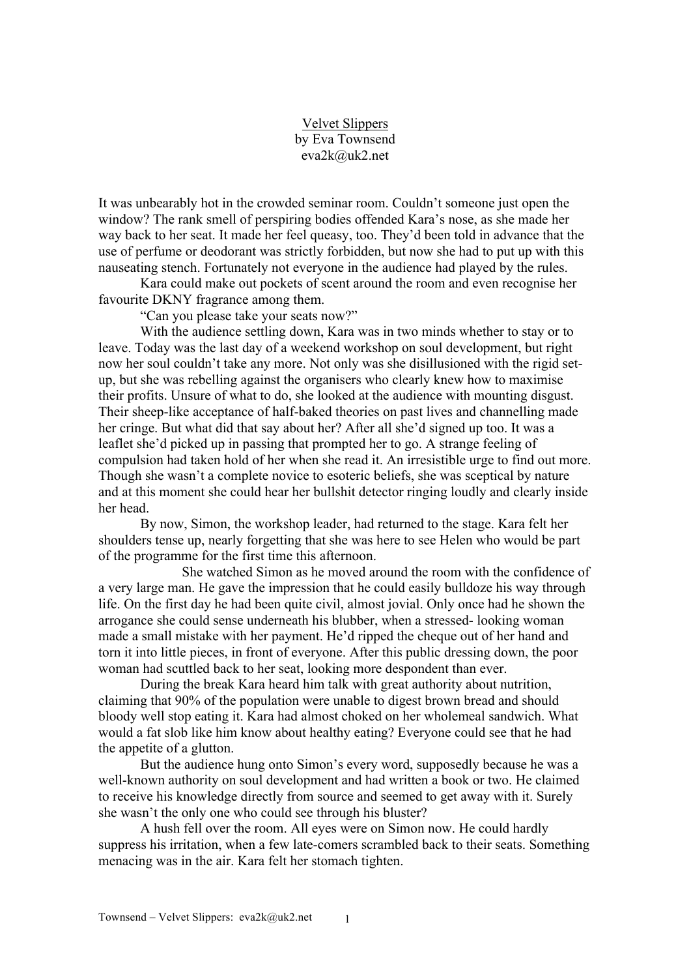## Velvet Slippers by Eva Townsend eva2k@uk2.net

It was unbearably hot in the crowded seminar room. Couldn't someone just open the window? The rank smell of perspiring bodies offended Kara's nose, as she made her way back to her seat. It made her feel queasy, too. They'd been told in advance that the use of perfume or deodorant was strictly forbidden, but now she had to put up with this nauseating stench. Fortunately not everyone in the audience had played by the rules.

Kara could make out pockets of scent around the room and even recognise her favourite DKNY fragrance among them.

"Can you please take your seats now?"

With the audience settling down, Kara was in two minds whether to stay or to leave. Today was the last day of a weekend workshop on soul development, but right now her soul couldn't take any more. Not only was she disillusioned with the rigid setup, but she was rebelling against the organisers who clearly knew how to maximise their profits. Unsure of what to do, she looked at the audience with mounting disgust. Their sheep-like acceptance of half-baked theories on past lives and channelling made her cringe. But what did that say about her? After all she'd signed up too. It was a leaflet she'd picked up in passing that prompted her to go. A strange feeling of compulsion had taken hold of her when she read it. An irresistible urge to find out more. Though she wasn't a complete novice to esoteric beliefs, she was sceptical by nature and at this moment she could hear her bullshit detector ringing loudly and clearly inside her head.

By now, Simon, the workshop leader, had returned to the stage. Kara felt her shoulders tense up, nearly forgetting that she was here to see Helen who would be part of the programme for the first time this afternoon.

She watched Simon as he moved around the room with the confidence of a very large man. He gave the impression that he could easily bulldoze his way through life. On the first day he had been quite civil, almost jovial. Only once had he shown the arrogance she could sense underneath his blubber, when a stressed- looking woman made a small mistake with her payment. He'd ripped the cheque out of her hand and torn it into little pieces, in front of everyone. After this public dressing down, the poor woman had scuttled back to her seat, looking more despondent than ever.

During the break Kara heard him talk with great authority about nutrition, claiming that 90% of the population were unable to digest brown bread and should bloody well stop eating it. Kara had almost choked on her wholemeal sandwich. What would a fat slob like him know about healthy eating? Everyone could see that he had the appetite of a glutton.

But the audience hung onto Simon's every word, supposedly because he was a well-known authority on soul development and had written a book or two. He claimed to receive his knowledge directly from source and seemed to get away with it. Surely she wasn't the only one who could see through his bluster?

A hush fell over the room. All eyes were on Simon now. He could hardly suppress his irritation, when a few late-comers scrambled back to their seats. Something menacing was in the air. Kara felt her stomach tighten.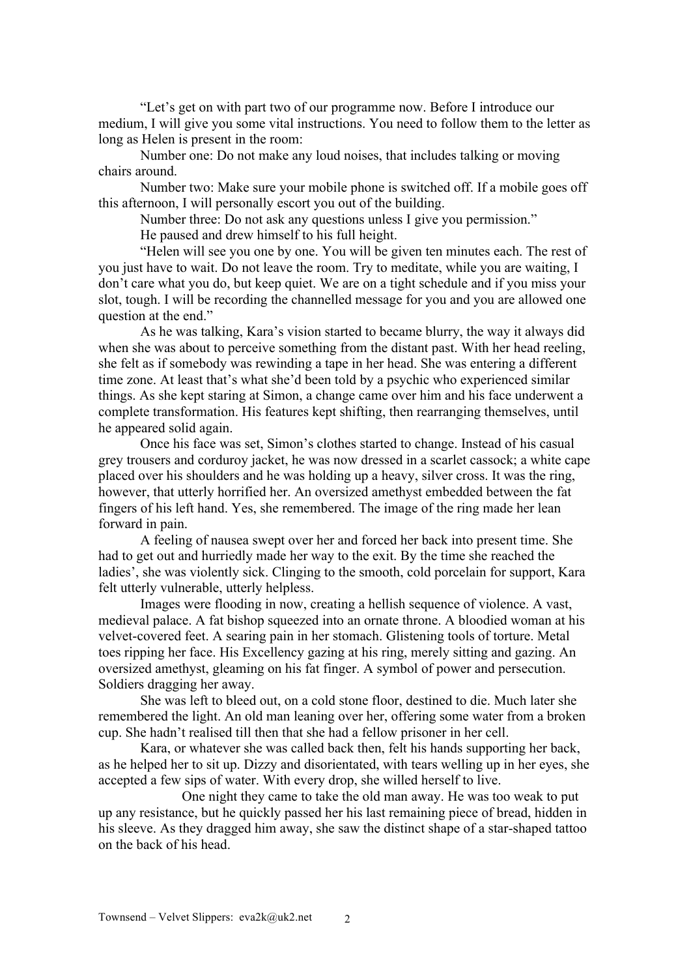"Let's get on with part two of our programme now. Before I introduce our medium, I will give you some vital instructions. You need to follow them to the letter as long as Helen is present in the room:

Number one: Do not make any loud noises, that includes talking or moving chairs around.

Number two: Make sure your mobile phone is switched off. If a mobile goes off this afternoon, I will personally escort you out of the building.

Number three: Do not ask any questions unless I give you permission."

He paused and drew himself to his full height.

"Helen will see you one by one. You will be given ten minutes each. The rest of you just have to wait. Do not leave the room. Try to meditate, while you are waiting, I don't care what you do, but keep quiet. We are on a tight schedule and if you miss your slot, tough. I will be recording the channelled message for you and you are allowed one question at the end."

As he was talking, Kara's vision started to became blurry, the way it always did when she was about to perceive something from the distant past. With her head reeling, she felt as if somebody was rewinding a tape in her head. She was entering a different time zone. At least that's what she'd been told by a psychic who experienced similar things. As she kept staring at Simon, a change came over him and his face underwent a complete transformation. His features kept shifting, then rearranging themselves, until he appeared solid again.

Once his face was set, Simon's clothes started to change. Instead of his casual grey trousers and corduroy jacket, he was now dressed in a scarlet cassock; a white cape placed over his shoulders and he was holding up a heavy, silver cross. It was the ring, however, that utterly horrified her. An oversized amethyst embedded between the fat fingers of his left hand. Yes, she remembered. The image of the ring made her lean forward in pain.

A feeling of nausea swept over her and forced her back into present time. She had to get out and hurriedly made her way to the exit. By the time she reached the ladies', she was violently sick. Clinging to the smooth, cold porcelain for support, Kara felt utterly vulnerable, utterly helpless.

Images were flooding in now, creating a hellish sequence of violence. A vast, medieval palace. A fat bishop squeezed into an ornate throne. A bloodied woman at his velvet-covered feet. A searing pain in her stomach. Glistening tools of torture. Metal toes ripping her face. His Excellency gazing at his ring, merely sitting and gazing. An oversized amethyst, gleaming on his fat finger. A symbol of power and persecution. Soldiers dragging her away.

She was left to bleed out, on a cold stone floor, destined to die. Much later she remembered the light. An old man leaning over her, offering some water from a broken cup. She hadn't realised till then that she had a fellow prisoner in her cell.

Kara, or whatever she was called back then, felt his hands supporting her back, as he helped her to sit up. Dizzy and disorientated, with tears welling up in her eyes, she accepted a few sips of water. With every drop, she willed herself to live.

One night they came to take the old man away. He was too weak to put up any resistance, but he quickly passed her his last remaining piece of bread, hidden in his sleeve. As they dragged him away, she saw the distinct shape of a star-shaped tattoo on the back of his head.